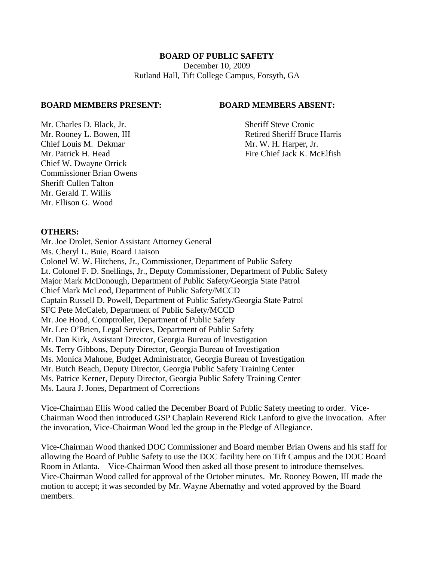#### **BOARD OF PUBLIC SAFETY**

December 10, 2009 Rutland Hall, Tift College Campus, Forsyth, GA

#### **BOARD MEMBERS PRESENT: BOARD MEMBERS ABSENT:**

Mr. Charles D. Black, Jr. Sheriff Steve Cronic Chief Louis M. Dekmar Mr. W. H. Harper, Jr. Chief W. Dwayne Orrick Commissioner Brian Owens Sheriff Cullen Talton Mr. Gerald T. Willis Mr. Ellison G. Wood

Mr. Rooney L. Bowen, III Retired Sheriff Bruce Harris Mr. Patrick H. Head Fire Chief Jack K. McElfish

#### **OTHERS:**

Mr. Joe Drolet, Senior Assistant Attorney General Ms. Cheryl L. Buie, Board Liaison Colonel W. W. Hitchens, Jr., Commissioner, Department of Public Safety Lt. Colonel F. D. Snellings, Jr., Deputy Commissioner, Department of Public Safety Major Mark McDonough, Department of Public Safety/Georgia State Patrol Chief Mark McLeod, Department of Public Safety/MCCD Captain Russell D. Powell, Department of Public Safety/Georgia State Patrol SFC Pete McCaleb, Department of Public Safety/MCCD Mr. Joe Hood, Comptroller, Department of Public Safety Mr. Lee O'Brien, Legal Services, Department of Public Safety Mr. Dan Kirk, Assistant Director, Georgia Bureau of Investigation Ms. Terry Gibbons, Deputy Director, Georgia Bureau of Investigation Ms. Monica Mahone, Budget Administrator, Georgia Bureau of Investigation Mr. Butch Beach, Deputy Director, Georgia Public Safety Training Center Ms. Patrice Kerner, Deputy Director, Georgia Public Safety Training Center Ms. Laura J. Jones, Department of Corrections

Vice-Chairman Ellis Wood called the December Board of Public Safety meeting to order. Vice-Chairman Wood then introduced GSP Chaplain Reverend Rick Lanford to give the invocation. After the invocation, Vice-Chairman Wood led the group in the Pledge of Allegiance.

Vice-Chairman Wood thanked DOC Commissioner and Board member Brian Owens and his staff for allowing the Board of Public Safety to use the DOC facility here on Tift Campus and the DOC Board Room in Atlanta. Vice-Chairman Wood then asked all those present to introduce themselves. Vice-Chairman Wood called for approval of the October minutes. Mr. Rooney Bowen, III made the motion to accept; it was seconded by Mr. Wayne Abernathy and voted approved by the Board members.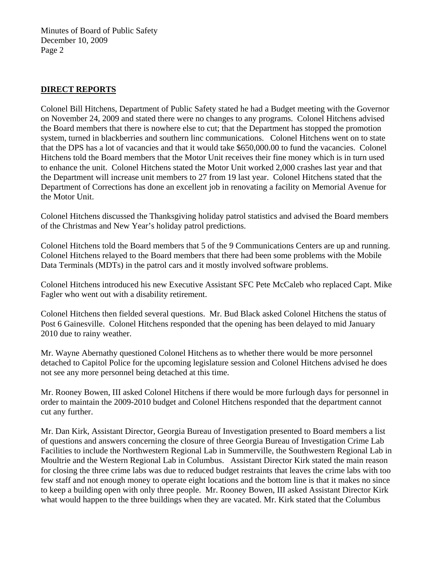## **DIRECT REPORTS**

Colonel Bill Hitchens, Department of Public Safety stated he had a Budget meeting with the Governor on November 24, 2009 and stated there were no changes to any programs. Colonel Hitchens advised the Board members that there is nowhere else to cut; that the Department has stopped the promotion system, turned in blackberries and southern linc communications. Colonel Hitchens went on to state that the DPS has a lot of vacancies and that it would take \$650,000.00 to fund the vacancies. Colonel Hitchens told the Board members that the Motor Unit receives their fine money which is in turn used to enhance the unit. Colonel Hitchens stated the Motor Unit worked 2,000 crashes last year and that the Department will increase unit members to 27 from 19 last year. Colonel Hitchens stated that the Department of Corrections has done an excellent job in renovating a facility on Memorial Avenue for the Motor Unit.

Colonel Hitchens discussed the Thanksgiving holiday patrol statistics and advised the Board members of the Christmas and New Year's holiday patrol predictions.

Colonel Hitchens told the Board members that 5 of the 9 Communications Centers are up and running. Colonel Hitchens relayed to the Board members that there had been some problems with the Mobile Data Terminals (MDTs) in the patrol cars and it mostly involved software problems.

Colonel Hitchens introduced his new Executive Assistant SFC Pete McCaleb who replaced Capt. Mike Fagler who went out with a disability retirement.

Colonel Hitchens then fielded several questions. Mr. Bud Black asked Colonel Hitchens the status of Post 6 Gainesville. Colonel Hitchens responded that the opening has been delayed to mid January 2010 due to rainy weather.

Mr. Wayne Abernathy questioned Colonel Hitchens as to whether there would be more personnel detached to Capitol Police for the upcoming legislature session and Colonel Hitchens advised he does not see any more personnel being detached at this time.

Mr. Rooney Bowen, III asked Colonel Hitchens if there would be more furlough days for personnel in order to maintain the 2009-2010 budget and Colonel Hitchens responded that the department cannot cut any further.

Mr. Dan Kirk, Assistant Director, Georgia Bureau of Investigation presented to Board members a list of questions and answers concerning the closure of three Georgia Bureau of Investigation Crime Lab Facilities to include the Northwestern Regional Lab in Summerville, the Southwestern Regional Lab in Moultrie and the Western Regional Lab in Columbus. Assistant Director Kirk stated the main reason for closing the three crime labs was due to reduced budget restraints that leaves the crime labs with too few staff and not enough money to operate eight locations and the bottom line is that it makes no since to keep a building open with only three people. Mr. Rooney Bowen, III asked Assistant Director Kirk what would happen to the three buildings when they are vacated. Mr. Kirk stated that the Columbus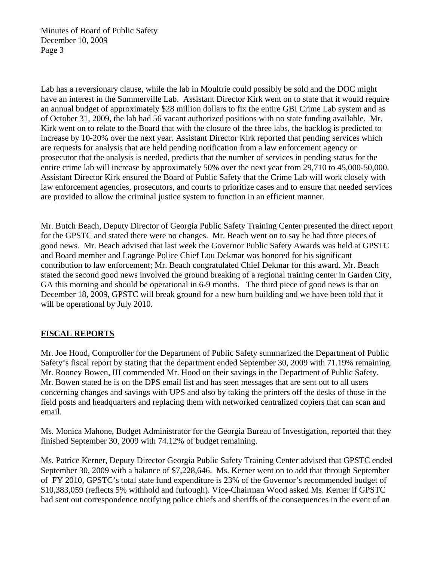Lab has a reversionary clause, while the lab in Moultrie could possibly be sold and the DOC might have an interest in the Summerville Lab. Assistant Director Kirk went on to state that it would require an annual budget of approximately \$28 million dollars to fix the entire GBI Crime Lab system and as of October 31, 2009, the lab had 56 vacant authorized positions with no state funding available. Mr. Kirk went on to relate to the Board that with the closure of the three labs, the backlog is predicted to increase by 10-20% over the next year. Assistant Director Kirk reported that pending services which are requests for analysis that are held pending notification from a law enforcement agency or prosecutor that the analysis is needed, predicts that the number of services in pending status for the entire crime lab will increase by approximately 50% over the next year from 29,710 to 45,000-50,000. Assistant Director Kirk ensured the Board of Public Safety that the Crime Lab will work closely with law enforcement agencies, prosecutors, and courts to prioritize cases and to ensure that needed services are provided to allow the criminal justice system to function in an efficient manner.

Mr. Butch Beach, Deputy Director of Georgia Public Safety Training Center presented the direct report for the GPSTC and stated there were no changes. Mr. Beach went on to say he had three pieces of good news. Mr. Beach advised that last week the Governor Public Safety Awards was held at GPSTC and Board member and Lagrange Police Chief Lou Dekmar was honored for his significant contribution to law enforcement; Mr. Beach congratulated Chief Dekmar for this award. Mr. Beach stated the second good news involved the ground breaking of a regional training center in Garden City, GA this morning and should be operational in 6-9 months. The third piece of good news is that on December 18, 2009, GPSTC will break ground for a new burn building and we have been told that it will be operational by July 2010.

# **FISCAL REPORTS**

Mr. Joe Hood, Comptroller for the Department of Public Safety summarized the Department of Public Safety's fiscal report by stating that the department ended September 30, 2009 with 71.19% remaining. Mr. Rooney Bowen, III commended Mr. Hood on their savings in the Department of Public Safety. Mr. Bowen stated he is on the DPS email list and has seen messages that are sent out to all users concerning changes and savings with UPS and also by taking the printers off the desks of those in the field posts and headquarters and replacing them with networked centralized copiers that can scan and email.

Ms. Monica Mahone, Budget Administrator for the Georgia Bureau of Investigation, reported that they finished September 30, 2009 with 74.12% of budget remaining.

Ms. Patrice Kerner, Deputy Director Georgia Public Safety Training Center advised that GPSTC ended September 30, 2009 with a balance of \$7,228,646. Ms. Kerner went on to add that through September of FY 2010, GPSTC's total state fund expenditure is 23% of the Governor's recommended budget of \$10,383,059 (reflects 5% withhold and furlough). Vice-Chairman Wood asked Ms. Kerner if GPSTC had sent out correspondence notifying police chiefs and sheriffs of the consequences in the event of an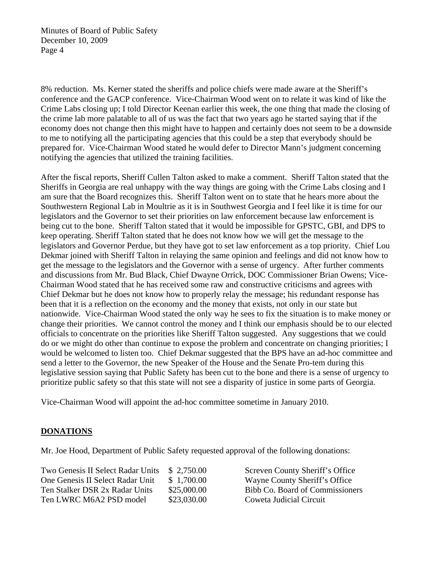8% reduction. Ms. Kerner stated the sheriffs and police chiefs were made aware at the Sheriff's conference and the GACP conference. Vice-Chairman Wood went on to relate it was kind of like the Crime Labs closing up; I told Director Keenan earlier this week, the one thing that made the closing of the crime lab more palatable to all of us was the fact that two years ago he started saying that if the economy does not change then this might have to happen and certainly does not seem to be a downside to me to notifying all the participating agencies that this could be a step that everybody should be prepared for. Vice-Chairman Wood stated he would defer to Director Mann's judgment concerning notifying the agencies that utilized the training facilities.

After the fiscal reports, Sheriff Cullen Talton asked to make a comment. Sheriff Talton stated that the Sheriffs in Georgia are real unhappy with the way things are going with the Crime Labs closing and I am sure that the Board recognizes this. Sheriff Talton went on to state that he hears more about the Southwestern Regional Lab in Moultrie as it is in Southwest Georgia and I feel like it is time for our legislators and the Governor to set their priorities on law enforcement because law enforcement is being cut to the bone. Sheriff Talton stated that it would be impossible for GPSTC, GBI, and DPS to keep operating. Sheriff Talton stated that he does not know how we will get the message to the legislators and Governor Perdue, but they have got to set law enforcement as a top priority. Chief Lou Dekmar joined with Sheriff Talton in relaying the same opinion and feelings and did not know how to get the message to the legislators and the Governor with a sense of urgency. After further comments and discussions from Mr. Bud Black, Chief Dwayne Orrick, DOC Commissioner Brian Owens; Vice-Chairman Wood stated that he has received some raw and constructive criticisms and agrees with Chief Dekmar but he does not know how to properly relay the message; his redundant response has been that it is a reflection on the economy and the money that exists, not only in our state but nationwide. Vice-Chairman Wood stated the only way he sees to fix the situation is to make money or change their priorities. We cannot control the money and I think our emphasis should be to our elected officials to concentrate on the priorities like Sheriff Talton suggested. Any suggestions that we could do or we might do other than continue to expose the problem and concentrate on changing priorities; I would be welcomed to listen too. Chief Dekmar suggested that the BPS have an ad-hoc committee and send a letter to the Governor, the new Speaker of the House and the Senate Pro-tem during this legislative session saying that Public Safety has been cut to the bone and there is a sense of urgency to prioritize public safety so that this state will not see a disparity of justice in some parts of Georgia.

Vice-Chairman Wood will appoint the ad-hoc committee sometime in January 2010.

# **DONATIONS**

Mr. Joe Hood, Department of Public Safety requested approval of the following donations:

Two Genesis II Select Radar Units \$ 2,750.00 Screven County Sheriff's Office One Genesis II Select Radar Unit \$ 1,700.00 Wayne County Sheriff's Office Ten Stalker DSR 2x Radar Units \$25,000.00 Bibb Co. Board of Commissioners Ten LWRC M6A2 PSD model \$23,030.00 Coweta Judicial Circuit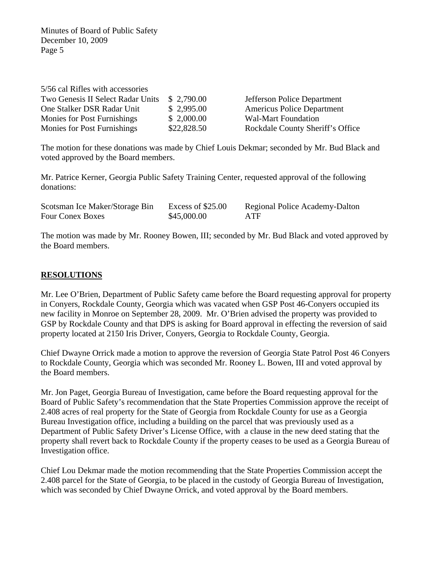| 5/56 cal Rifles with accessories   |             |                                   |
|------------------------------------|-------------|-----------------------------------|
| Two Genesis II Select Radar Units  | \$2,790.00  | Jefferson Police Department       |
| One Stalker DSR Radar Unit         | \$2,995.00  | <b>Americus Police Department</b> |
| <b>Monies for Post Furnishings</b> | \$2,000.00  | <b>Wal-Mart Foundation</b>        |
| <b>Monies for Post Furnishings</b> | \$22,828.50 | Rockdale County Sheriff's Office  |

The motion for these donations was made by Chief Louis Dekmar; seconded by Mr. Bud Black and voted approved by the Board members.

Mr. Patrice Kerner, Georgia Public Safety Training Center, requested approval of the following donations:

| Scotsman Ice Maker/Storage Bin | Excess of \$25.00 | Regional Police Academy-Dalton |
|--------------------------------|-------------------|--------------------------------|
| <b>Four Conex Boxes</b>        | \$45,000.00       | ATF                            |

The motion was made by Mr. Rooney Bowen, III; seconded by Mr. Bud Black and voted approved by the Board members.

# **RESOLUTIONS**

Mr. Lee O'Brien, Department of Public Safety came before the Board requesting approval for property in Conyers, Rockdale County, Georgia which was vacated when GSP Post 46-Conyers occupied its new facility in Monroe on September 28, 2009. Mr. O'Brien advised the property was provided to GSP by Rockdale County and that DPS is asking for Board approval in effecting the reversion of said property located at 2150 Iris Driver, Conyers, Georgia to Rockdale County, Georgia.

Chief Dwayne Orrick made a motion to approve the reversion of Georgia State Patrol Post 46 Conyers to Rockdale County, Georgia which was seconded Mr. Rooney L. Bowen, III and voted approval by the Board members.

Mr. Jon Paget, Georgia Bureau of Investigation, came before the Board requesting approval for the Board of Public Safety's recommendation that the State Properties Commission approve the receipt of 2.408 acres of real property for the State of Georgia from Rockdale County for use as a Georgia Bureau Investigation office, including a building on the parcel that was previously used as a Department of Public Safety Driver's License Office, with a clause in the new deed stating that the property shall revert back to Rockdale County if the property ceases to be used as a Georgia Bureau of Investigation office.

Chief Lou Dekmar made the motion recommending that the State Properties Commission accept the 2.408 parcel for the State of Georgia, to be placed in the custody of Georgia Bureau of Investigation, which was seconded by Chief Dwayne Orrick, and voted approval by the Board members.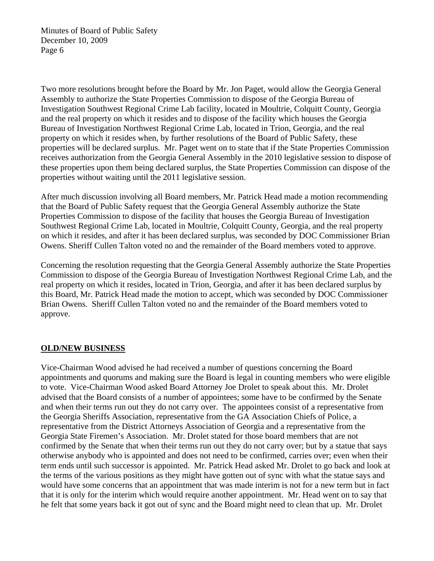Two more resolutions brought before the Board by Mr. Jon Paget, would allow the Georgia General Assembly to authorize the State Properties Commission to dispose of the Georgia Bureau of Investigation Southwest Regional Crime Lab facility, located in Moultrie, Colquitt County, Georgia and the real property on which it resides and to dispose of the facility which houses the Georgia Bureau of Investigation Northwest Regional Crime Lab, located in Trion, Georgia, and the real property on which it resides when, by further resolutions of the Board of Public Safety, these properties will be declared surplus. Mr. Paget went on to state that if the State Properties Commission receives authorization from the Georgia General Assembly in the 2010 legislative session to dispose of these properties upon them being declared surplus, the State Properties Commission can dispose of the properties without waiting until the 2011 legislative session.

After much discussion involving all Board members, Mr. Patrick Head made a motion recommending that the Board of Public Safety request that the Georgia General Assembly authorize the State Properties Commission to dispose of the facility that houses the Georgia Bureau of Investigation Southwest Regional Crime Lab, located in Moultrie, Colquitt County, Georgia, and the real property on which it resides, and after it has been declared surplus, was seconded by DOC Commissioner Brian Owens. Sheriff Cullen Talton voted no and the remainder of the Board members voted to approve.

Concerning the resolution requesting that the Georgia General Assembly authorize the State Properties Commission to dispose of the Georgia Bureau of Investigation Northwest Regional Crime Lab, and the real property on which it resides, located in Trion, Georgia, and after it has been declared surplus by this Board, Mr. Patrick Head made the motion to accept, which was seconded by DOC Commissioner Brian Owens. Sheriff Cullen Talton voted no and the remainder of the Board members voted to approve.

### **OLD/NEW BUSINESS**

Vice-Chairman Wood advised he had received a number of questions concerning the Board appointments and quorums and making sure the Board is legal in counting members who were eligible to vote. Vice-Chairman Wood asked Board Attorney Joe Drolet to speak about this. Mr. Drolet advised that the Board consists of a number of appointees; some have to be confirmed by the Senate and when their terms run out they do not carry over. The appointees consist of a representative from the Georgia Sheriffs Association, representative from the GA Association Chiefs of Police, a representative from the District Attorneys Association of Georgia and a representative from the Georgia State Firemen's Association. Mr. Drolet stated for those board members that are not confirmed by the Senate that when their terms run out they do not carry over; but by a statue that says otherwise anybody who is appointed and does not need to be confirmed, carries over; even when their term ends until such successor is appointed. Mr. Patrick Head asked Mr. Drolet to go back and look at the terms of the various positions as they might have gotten out of sync with what the statue says and would have some concerns that an appointment that was made interim is not for a new term but in fact that it is only for the interim which would require another appointment. Mr. Head went on to say that he felt that some years back it got out of sync and the Board might need to clean that up. Mr. Drolet